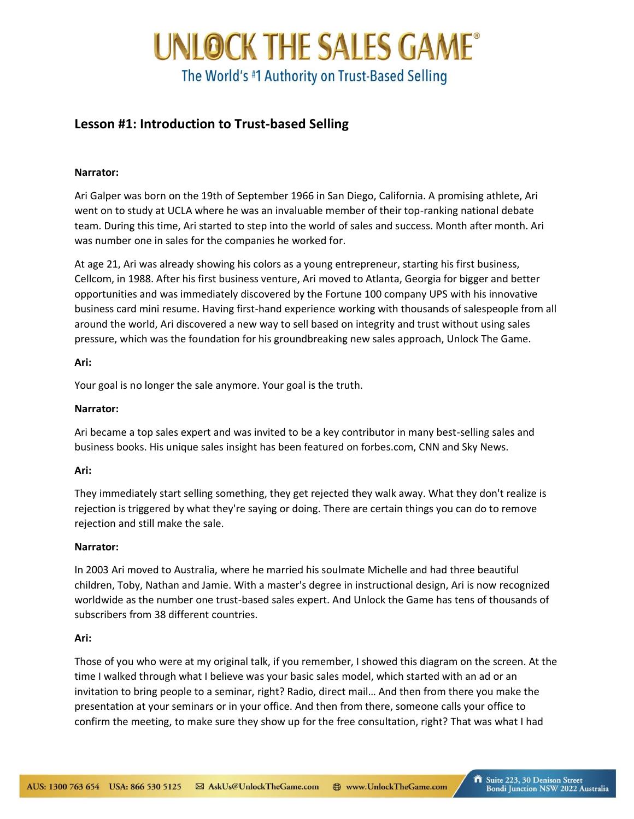# UNLOCK THE SALES GAME® The World's #1 Authority on Trust-Based Selling

# **Lesson #1: Introduction to Trust-based Selling**

### **Narrator:**

Ari Galper was born on the 19th of September 1966 in San Diego, California. A promising athlete, Ari went on to study at UCLA where he was an invaluable member of their top-ranking national debate team. During this time, Ari started to step into the world of sales and success. Month after month. Ari was number one in sales for the companies he worked for.

At age 21, Ari was already showing his colors as a young entrepreneur, starting his first business, Cellcom, in 1988. After his first business venture, Ari moved to Atlanta, Georgia for bigger and better opportunities and was immediately discovered by the Fortune 100 company UPS with his innovative business card mini resume. Having first-hand experience working with thousands of salespeople from all around the world, Ari discovered a new way to sell based on integrity and trust without using sales pressure, which was the foundation for his groundbreaking new sales approach, Unlock The Game.

#### **Ari:**

Your goal is no longer the sale anymore. Your goal is the truth.

### **Narrator:**

Ari became a top sales expert and was invited to be a key contributor in many best-selling sales and business books. His unique sales insight has been featured on forbes.com, CNN and Sky News.

## **Ari:**

They immediately start selling something, they get rejected they walk away. What they don't realize is rejection is triggered by what they're saying or doing. There are certain things you can do to remove rejection and still make the sale.

#### **Narrator:**

In 2003 Ari moved to Australia, where he married his soulmate Michelle and had three beautiful children, Toby, Nathan and Jamie. With a master's degree in instructional design, Ari is now recognized worldwide as the number one trust-based sales expert. And Unlock the Game has tens of thousands of subscribers from 38 different countries.

#### **Ari:**

Those of you who were at my original talk, if you remember, I showed this diagram on the screen. At the time I walked through what I believe was your basic sales model, which started with an ad or an invitation to bring people to a seminar, right? Radio, direct mail… And then from there you make the presentation at your seminars or in your office. And then from there, someone calls your office to confirm the meeting, to make sure they show up for the free consultation, right? That was what I had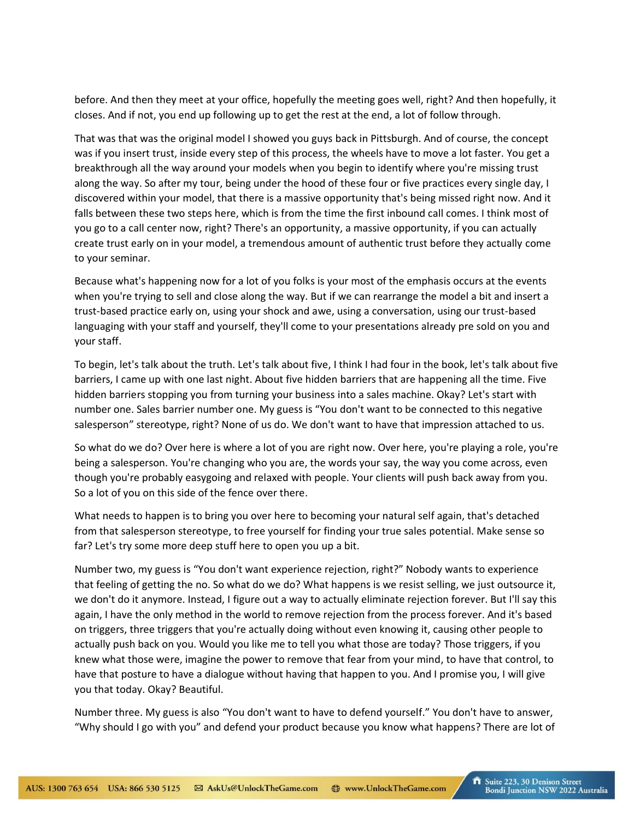before. And then they meet at your office, hopefully the meeting goes well, right? And then hopefully, it closes. And if not, you end up following up to get the rest at the end, a lot of follow through.

That was that was the original model I showed you guys back in Pittsburgh. And of course, the concept was if you insert trust, inside every step of this process, the wheels have to move a lot faster. You get a breakthrough all the way around your models when you begin to identify where you're missing trust along the way. So after my tour, being under the hood of these four or five practices every single day, I discovered within your model, that there is a massive opportunity that's being missed right now. And it falls between these two steps here, which is from the time the first inbound call comes. I think most of you go to a call center now, right? There's an opportunity, a massive opportunity, if you can actually create trust early on in your model, a tremendous amount of authentic trust before they actually come to your seminar.

Because what's happening now for a lot of you folks is your most of the emphasis occurs at the events when you're trying to sell and close along the way. But if we can rearrange the model a bit and insert a trust-based practice early on, using your shock and awe, using a conversation, using our trust-based languaging with your staff and yourself, they'll come to your presentations already pre sold on you and your staff.

To begin, let's talk about the truth. Let's talk about five, I think I had four in the book, let's talk about five barriers, I came up with one last night. About five hidden barriers that are happening all the time. Five hidden barriers stopping you from turning your business into a sales machine. Okay? Let's start with number one. Sales barrier number one. My guess is "You don't want to be connected to this negative salesperson" stereotype, right? None of us do. We don't want to have that impression attached to us.

So what do we do? Over here is where a lot of you are right now. Over here, you're playing a role, you're being a salesperson. You're changing who you are, the words your say, the way you come across, even though you're probably easygoing and relaxed with people. Your clients will push back away from you. So a lot of you on this side of the fence over there.

What needs to happen is to bring you over here to becoming your natural self again, that's detached from that salesperson stereotype, to free yourself for finding your true sales potential. Make sense so far? Let's try some more deep stuff here to open you up a bit.

Number two, my guess is "You don't want experience rejection, right?" Nobody wants to experience that feeling of getting the no. So what do we do? What happens is we resist selling, we just outsource it, we don't do it anymore. Instead, I figure out a way to actually eliminate rejection forever. But I'll say this again, I have the only method in the world to remove rejection from the process forever. And it's based on triggers, three triggers that you're actually doing without even knowing it, causing other people to actually push back on you. Would you like me to tell you what those are today? Those triggers, if you knew what those were, imagine the power to remove that fear from your mind, to have that control, to have that posture to have a dialogue without having that happen to you. And I promise you, I will give you that today. Okay? Beautiful.

Number three. My guess is also "You don't want to have to defend yourself." You don't have to answer, "Why should I go with you" and defend your product because you know what happens? There are lot of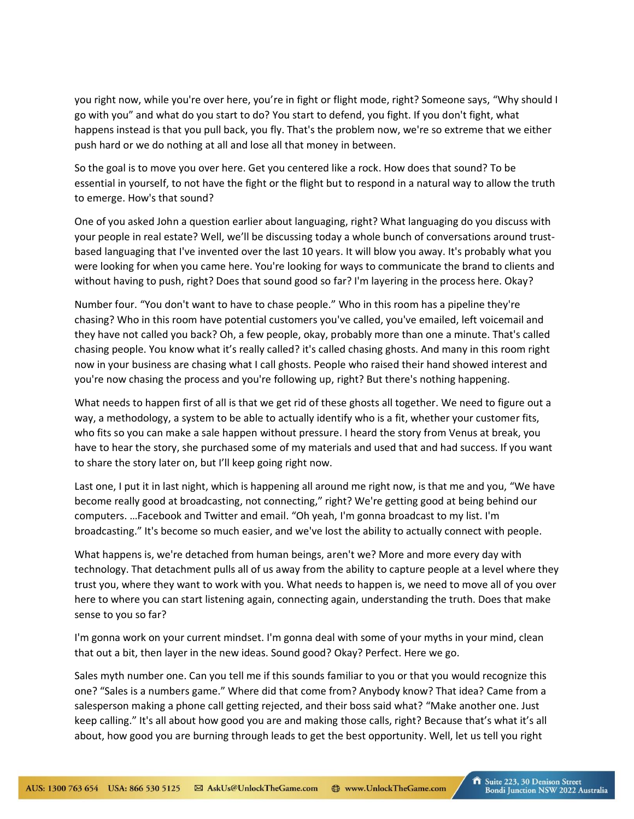you right now, while you're over here, you're in fight or flight mode, right? Someone says, "Why should I go with you" and what do you start to do? You start to defend, you fight. If you don't fight, what happens instead is that you pull back, you fly. That's the problem now, we're so extreme that we either push hard or we do nothing at all and lose all that money in between.

So the goal is to move you over here. Get you centered like a rock. How does that sound? To be essential in yourself, to not have the fight or the flight but to respond in a natural way to allow the truth to emerge. How's that sound?

One of you asked John a question earlier about languaging, right? What languaging do you discuss with your people in real estate? Well, we'll be discussing today a whole bunch of conversations around trustbased languaging that I've invented over the last 10 years. It will blow you away. It's probably what you were looking for when you came here. You're looking for ways to communicate the brand to clients and without having to push, right? Does that sound good so far? I'm layering in the process here. Okay?

Number four. "You don't want to have to chase people." Who in this room has a pipeline they're chasing? Who in this room have potential customers you've called, you've emailed, left voicemail and they have not called you back? Oh, a few people, okay, probably more than one a minute. That's called chasing people. You know what it's really called? it's called chasing ghosts. And many in this room right now in your business are chasing what I call ghosts. People who raised their hand showed interest and you're now chasing the process and you're following up, right? But there's nothing happening.

What needs to happen first of all is that we get rid of these ghosts all together. We need to figure out a way, a methodology, a system to be able to actually identify who is a fit, whether your customer fits, who fits so you can make a sale happen without pressure. I heard the story from Venus at break, you have to hear the story, she purchased some of my materials and used that and had success. If you want to share the story later on, but I'll keep going right now.

Last one, I put it in last night, which is happening all around me right now, is that me and you, "We have become really good at broadcasting, not connecting," right? We're getting good at being behind our computers. …Facebook and Twitter and email. "Oh yeah, I'm gonna broadcast to my list. I'm broadcasting." It's become so much easier, and we've lost the ability to actually connect with people.

What happens is, we're detached from human beings, aren't we? More and more every day with technology. That detachment pulls all of us away from the ability to capture people at a level where they trust you, where they want to work with you. What needs to happen is, we need to move all of you over here to where you can start listening again, connecting again, understanding the truth. Does that make sense to you so far?

I'm gonna work on your current mindset. I'm gonna deal with some of your myths in your mind, clean that out a bit, then layer in the new ideas. Sound good? Okay? Perfect. Here we go.

Sales myth number one. Can you tell me if this sounds familiar to you or that you would recognize this one? "Sales is a numbers game." Where did that come from? Anybody know? That idea? Came from a salesperson making a phone call getting rejected, and their boss said what? "Make another one. Just keep calling." It's all about how good you are and making those calls, right? Because that's what it's all about, how good you are burning through leads to get the best opportunity. Well, let us tell you right